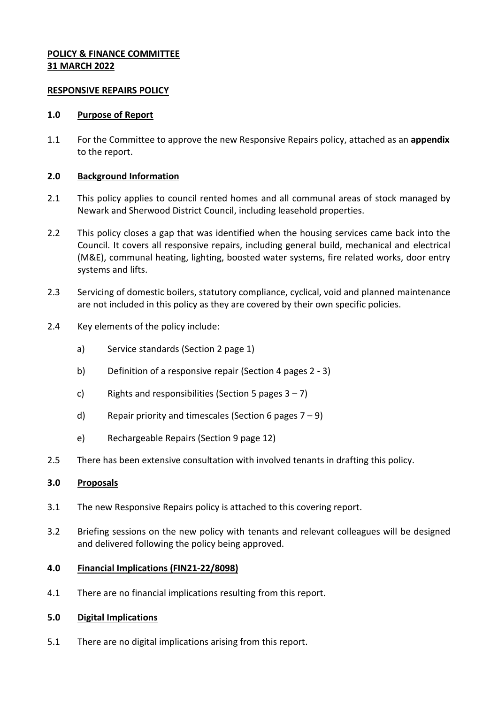# **POLICY & FINANCE COMMITTEE 31 MARCH 2022**

### **RESPONSIVE REPAIRS POLICY**

### **1.0 Purpose of Report**

1.1 For the Committee to approve the new Responsive Repairs policy, attached as an **appendix** to the report.

# **2.0 Background Information**

- 2.1 This policy applies to council rented homes and all communal areas of stock managed by Newark and Sherwood District Council, including leasehold properties.
- 2.2 This policy closes a gap that was identified when the housing services came back into the Council. It covers all responsive repairs, including general build, mechanical and electrical (M&E), communal heating, lighting, boosted water systems, fire related works, door entry systems and lifts.
- 2.3 Servicing of domestic boilers, statutory compliance, cyclical, void and planned maintenance are not included in this policy as they are covered by their own specific policies.
- 2.4 Key elements of the policy include:
	- a) Service standards (Section 2 page 1)
	- b) Definition of a responsive repair (Section 4 pages 2 3)
	- c) Rights and responsibilities (Section 5 pages  $3 7$ )
	- d) Repair priority and timescales (Section 6 pages  $7 9$ )
	- e) Rechargeable Repairs (Section 9 page 12)
- 2.5 There has been extensive consultation with involved tenants in drafting this policy.

### **3.0 Proposals**

- 3.1 The new Responsive Repairs policy is attached to this covering report.
- 3.2 Briefing sessions on the new policy with tenants and relevant colleagues will be designed and delivered following the policy being approved.

#### **4.0 Financial Implications (FIN21-22/8098)**

4.1 There are no financial implications resulting from this report.

#### **5.0 Digital Implications**

5.1 There are no digital implications arising from this report.